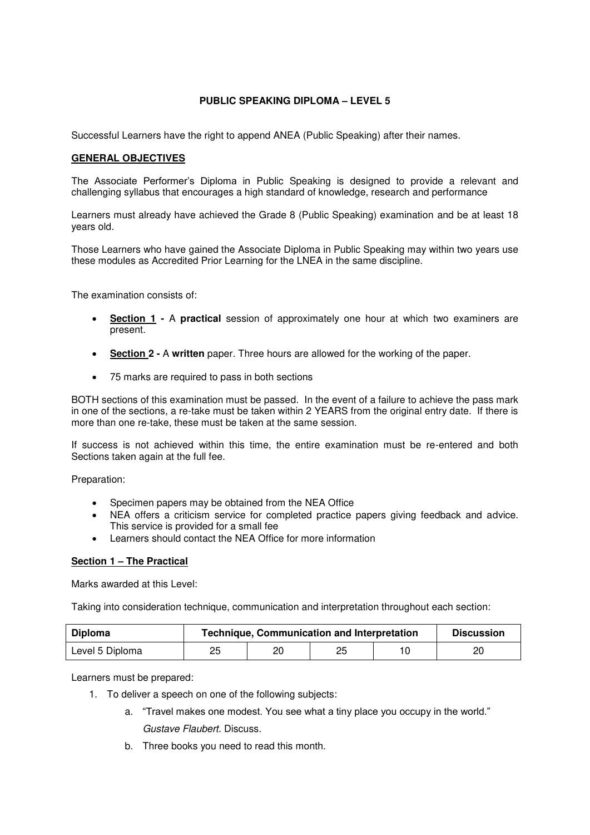## **PUBLIC SPEAKING DIPLOMA – LEVEL 5**

Successful Learners have the right to append ANEA (Public Speaking) after their names.

## **GENERAL OBJECTIVES**

The Associate Performer's Diploma in Public Speaking is designed to provide a relevant and challenging syllabus that encourages a high standard of knowledge, research and performance

Learners must already have achieved the Grade 8 (Public Speaking) examination and be at least 18 years old.

Those Learners who have gained the Associate Diploma in Public Speaking may within two years use these modules as Accredited Prior Learning for the LNEA in the same discipline.

The examination consists of:

- **Section 1** A **practical** session of approximately one hour at which two examiners are present.
- **Section 2** A **written** paper. Three hours are allowed for the working of the paper.
- 75 marks are required to pass in both sections

BOTH sections of this examination must be passed. In the event of a failure to achieve the pass mark in one of the sections, a re-take must be taken within 2 YEARS from the original entry date. If there is more than one re-take, these must be taken at the same session.

If success is not achieved within this time, the entire examination must be re-entered and both Sections taken again at the full fee.

Preparation:

- Specimen papers may be obtained from the NEA Office
- NEA offers a criticism service for completed practice papers giving feedback and advice. This service is provided for a small fee
- Learners should contact the NEA Office for more information

## **Section 1 – The Practical**

Marks awarded at this Level:

Taking into consideration technique, communication and interpretation throughout each section:

| Diploma         | <b>Technique, Communication and Interpretation</b> |    |    |  | <b>Discussion</b> |
|-----------------|----------------------------------------------------|----|----|--|-------------------|
| Level 5 Diploma | 25                                                 | 20 | 25 |  | ۷J                |

Learners must be prepared:

- 1. To deliver a speech on one of the following subjects:
	- a. "Travel makes one modest. You see what a tiny place you occupy in the world." Gustave Flaubert. Discuss.
	- b. Three books you need to read this month.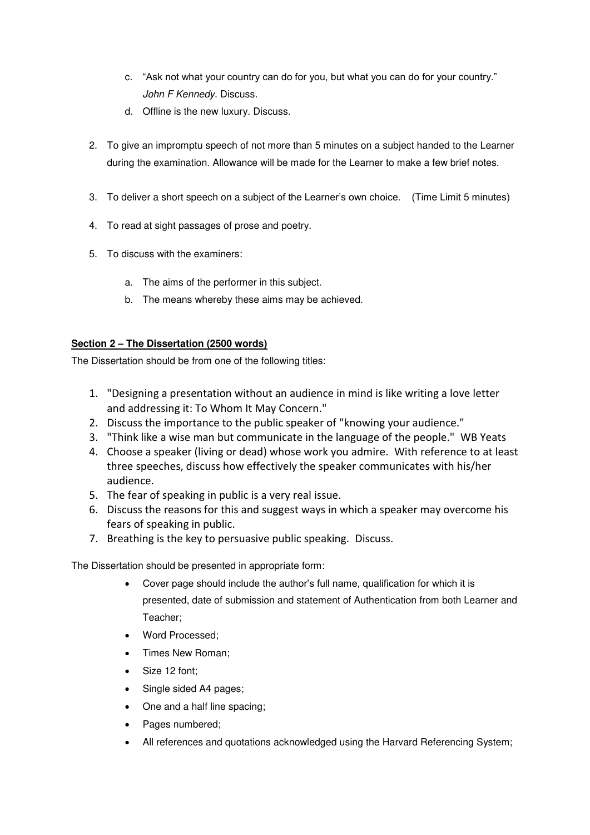- c. "Ask not what your country can do for you, but what you can do for your country." John F Kennedy. Discuss.
- d. Offline is the new luxury. Discuss.
- 2. To give an impromptu speech of not more than 5 minutes on a subject handed to the Learner during the examination. Allowance will be made for the Learner to make a few brief notes.
- 3. To deliver a short speech on a subject of the Learner's own choice. (Time Limit 5 minutes)
- 4. To read at sight passages of prose and poetry.
- 5. To discuss with the examiners:
	- a. The aims of the performer in this subject.
	- b. The means whereby these aims may be achieved.

## **Section 2 – The Dissertation (2500 words)**

The Dissertation should be from one of the following titles:

- 1. "Designing a presentation without an audience in mind is like writing a love letter and addressing it: To Whom It May Concern."
- 2. Discuss the importance to the public speaker of "knowing your audience."
- 3. "Think like a wise man but communicate in the language of the people." WB Yeats
- 4. Choose a speaker (living or dead) whose work you admire. With reference to at least three speeches, discuss how effectively the speaker communicates with his/her audience.
- 5. The fear of speaking in public is a very real issue.
- 6. Discuss the reasons for this and suggest ways in which a speaker may overcome his fears of speaking in public.
- 7. Breathing is the key to persuasive public speaking. Discuss.

The Dissertation should be presented in appropriate form:

- Cover page should include the author's full name, qualification for which it is presented, date of submission and statement of Authentication from both Learner and Teacher;
- Word Processed;
- Times New Roman;
- Size 12 font;
- Single sided A4 pages;
- One and a half line spacing;
- Pages numbered;
- All references and quotations acknowledged using the Harvard Referencing System;